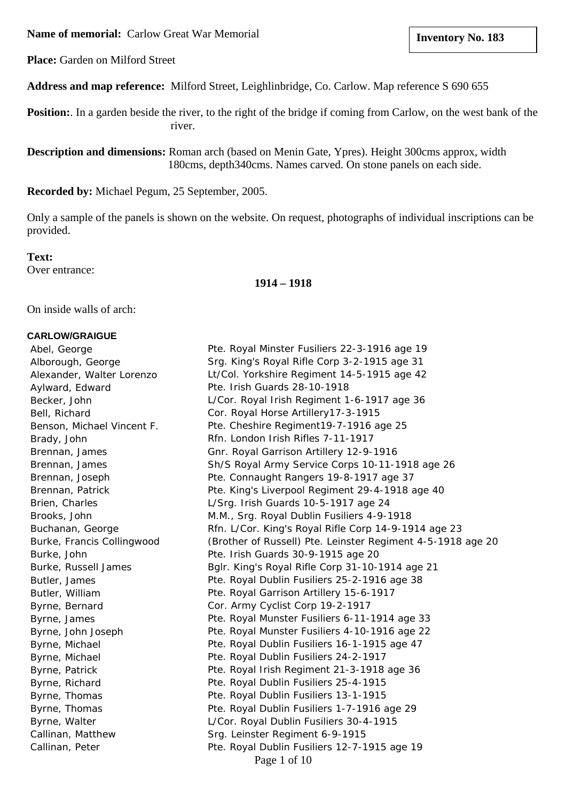**Name of memorial:** Carlow Great War Memorial

**Place:** Garden on Milford Street

**Address and map reference:** Milford Street, Leighlinbridge, Co. Carlow. Map reference S 690 655

**Position:**. In a garden beside the river, to the right of the bridge if coming from Carlow, on the west bank of the river.

**Description and dimensions:** Roman arch (based on Menin Gate, Ypres). Height 300cms approx, width 180cms, depth340cms. Names carved. On stone panels on each side.

**Recorded by:** Michael Pegum, 25 September, 2005.

Only a sample of the panels is shown on the website. On request, photographs of individual inscriptions can be provided.

**Text:** Over entrance:

**1914 – 1918**

On inside walls of arch:

## **CARLOW/GRAIGUE**

Page 1 of 10 Abel, George The Pte. Royal Minster Fusiliers 22-3-1916 age 19 Alborough, George Srg. King's Royal Rifle Corp 3-2-1915 age 31 Alexander, Walter Lorenzo Lt/Col. Yorkshire Regiment 14-5-1915 age 42 Aylward, Edward Pte. Irish Guards 28-10-1918 Becker, John L/Cor. Royal Irish Regiment 1-6-1917 age 36 Bell, Richard Cor. Royal Horse Artillery17-3-1915 Benson, Michael Vincent F. Pte. Cheshire Regiment19-7-1916 age 25 Brady, John Rfn. London Irish Rifles 7-11-1917 Brennan, James Gnr. Royal Garrison Artillery 12-9-1916 Brennan, James Sh/S Royal Army Service Corps 10-11-1918 age 26 Brennan, Joseph Pte. Connaught Rangers 19-8-1917 age 37 Brennan, Patrick **Pte. King's Liverpool Regiment 29-4-1918** age 40 Brien, Charles L/Srg. Irish Guards 10-5-1917 age 24 Brooks, John M.M., Srg. Royal Dublin Fusiliers 4-9-1918 Buchanan, George **Rfn. L/Cor. King's Royal Rifle Corp 14-9-1914** age 23 Burke, Francis Collingwood (Brother of Russell) Pte. Leinster Regiment 4-5-1918 age 20 Burke, John Pte. Irish Guards 30-9-1915 age 20 Burke, Russell James Bglr. King's Royal Rifle Corp 31-10-1914 age 21 Butler, James Pte. Royal Dublin Fusiliers 25-2-1916 age 38 Butler, William Pte. Royal Garrison Artillery 15-6-1917 Byrne, Bernard Cor. Army Cyclist Corp 19-2-1917 Byrne, James **Pte. Royal Munster Fusiliers 6-11-1914** age 33 Byrne, John Joseph Pte. Royal Munster Fusiliers 4-10-1916 age 22 Byrne, Michael **Pte. Royal Dublin Fusiliers 16-1-1915** age 47 Byrne, Michael **Pte. Royal Dublin Fusiliers 24-2-1917** Byrne, Patrick **Publish Regiment 21-3-1918** age 36 Byrne, Richard Pte. Royal Dublin Fusiliers 25-4-1915 Byrne, Thomas **Pte. Royal Dublin Fusiliers 13-1-1915** Byrne, Thomas **Pte. Royal Dublin Fusiliers 1-7-1916** age 29 Byrne, Walter L/Cor. Royal Dublin Fusiliers 30-4-1915 Callinan, Matthew Srg. Leinster Regiment 6-9-1915 Callinan, Peter Pte. Royal Dublin Fusiliers 12-7-1915 age 19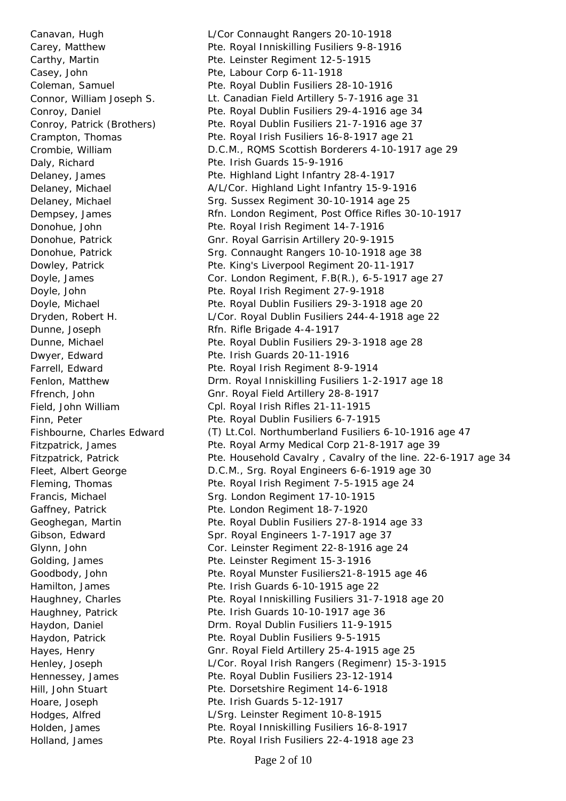Holland, James Pte. Royal Irish Fusiliers 22-4-1918 age 23

 Canavan, Hugh L/Cor Connaught Rangers 20-10-1918 Carey, Matthew Pte. Royal Inniskilling Fusiliers 9-8-1916 Carthy, Martin Pte. Leinster Regiment 12-5-1915 Casey, John Pte, Labour Corp 6-11-1918 Coleman, Samuel Pte. Royal Dublin Fusiliers 28-10-1916 Connor, William Joseph S. Lt. Canadian Field Artillery 5-7-1916 age 31 Conroy, Daniel Pte. Royal Dublin Fusiliers 29-4-1916 age 34 Conroy, Patrick (Brothers) Pte. Royal Dublin Fusiliers 21-7-1916 age 37 Crampton, Thomas Pte. Royal Irish Fusiliers 16-8-1917 age 21 Crombie, William D.C.M., RQMS Scottish Borderers 4-10-1917 age 29 Daly, Richard **Pte. Irish Guards 15-9-1916**  Delaney, James Pte. Highland Light Infantry 28-4-1917 Delaney, Michael A/L/Cor. Highland Light Infantry 15-9-1916 Delaney, Michael Srg. Sussex Regiment 30-10-1914 age 25 Dempsey, James Rfn. London Regiment, Post Office Rifles 30-10-1917 Donohue, John Pte. Royal Irish Regiment 14-7-1916 Donohue, Patrick Gnr. Royal Garrisin Artillery 20-9-1915 Donohue, Patrick Srg. Connaught Rangers 10-10-1918 age 38 Dowley, Patrick **Pte. King's Liverpool Regiment 20-11-1917**  Doyle, James Cor. London Regiment, F.B(R.), 6-5-1917 age 27 Doyle, John Pte. Royal Irish Regiment 27-9-1918 Doyle, Michael Pte. Royal Dublin Fusiliers 29-3-1918 age 20 Dryden, Robert H. L/Cor. Royal Dublin Fusiliers 244-4-1918 age 22 Dunne, Joseph Rfn. Rifle Brigade 4-4-1917 Dunne, Michael **Pte. Royal Dublin Fusiliers 29-3-1918** age 28 Dwyer, Edward **Pte. Irish Guards 20-11-1916** Farrell, Edward **Pte. Royal Irish Regiment 8-9-1914**  Fenlon, Matthew Drm. Royal Inniskilling Fusiliers 1-2-1917 age 18 Ffrench, John Gnr. Royal Field Artillery 28-8-1917 Field, John William Cpl. Royal Irish Rifles 21-11-1915 Finn, Peter **Pte. Royal Dublin Fusiliers 6-7-1915**  Fishbourne, Charles Edward (T) Lt.Col. Northumberland Fusiliers 6-10-1916 age 47 Fitzpatrick, James Pte. Royal Army Medical Corp 21-8-1917 age 39 Fitzpatrick, Patrick **Prosedial Pre. Household Cavalry , Cavalry of the line. 22-6-1917 age 34**  Fleet, Albert George D.C.M., Srg. Royal Engineers 6-6-1919 age 30 Fleming, Thomas Pte. Royal Irish Regiment 7-5-1915 age 24 Francis, Michael Srg. London Regiment 17-10-1915 Gaffney, Patrick **Pte. London Regiment 18-7-1920** Geoghegan, Martin **Pte. Royal Dublin Fusiliers 27-8-1914** age 33 Gibson, Edward Spr. Royal Engineers 1-7-1917 age 37 Glynn, John Cor. Leinster Regiment 22-8-1916 age 24 Golding, James Pte. Leinster Regiment 15-3-1916 Goodbody, John **Pte. Royal Munster Fusiliers21-8-1915** age 46 Hamilton, James Pte. Irish Guards 6-10-1915 age 22 Haughney, Charles **Pte. Royal Inniskilling Fusiliers 31-7-1918** age 20 Haughney, Patrick **Pre. Irish Guards 10-10-1917** age 36 Haydon, Daniel Drm. Royal Dublin Fusiliers 11-9-1915 Haydon, Patrick **Pre. Royal Dublin Fusiliers 9-5-1915**  Hayes, Henry Gnr. Royal Field Artillery 25-4-1915 age 25 Henley, Joseph L/Cor. Royal Irish Rangers (Regimenr) 15-3-1915 Hennessey, James **Pte. Royal Dublin Fusiliers 23-12-1914**  Hill, John Stuart Pte. Dorsetshire Regiment 14-6-1918 Hoare, Joseph Pte. Irish Guards 5-12-1917 Hodges, Alfred L/Srg. Leinster Regiment 10-8-1915 Holden, James **Pte. Royal Inniskilling Fusiliers 16-8-1917**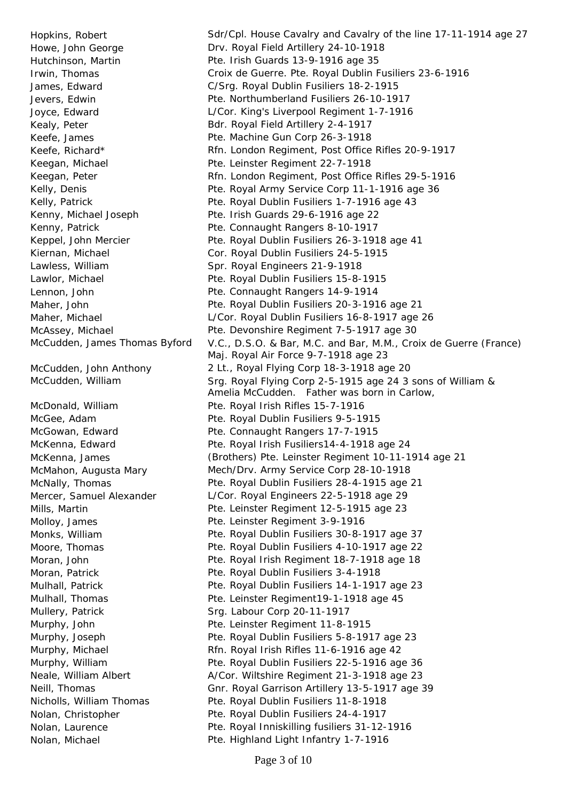Howe, John George **East Convention Conventsion** Drv. Royal Field Artillery 24-10-1918 Hutchinson, Martin Pte. Irish Guards 13-9-1916 age 35 Kealy, Peter **Bdr. Royal Field Artillery 2-4-1917** Keefe, James **Pte. Machine Gun Corp 26-3-1918** Keegan, Michael **Pte. Leinster Regiment 22-7-1918** Kenny, Michael Joseph Pte. Irish Guards 29-6-1916 age 22 Kenny, Patrick Pte. Connaught Rangers 8-10-1917 Kiernan, Michael Cor. Royal Dublin Fusiliers 24-5-1915 Lawless, William Spr. Royal Engineers 21-9-1918 Lawlor, Michael Pte. Royal Dublin Fusiliers 15-8-1915 Lennon, John Pte. Connaught Rangers 14-9-1914 McDonald, William Pte. Royal Irish Rifles 15-7-1916 McGee, Adam **Pte. Royal Dublin Fusiliers 9-5-1915** McGowan, Edward **Pte. Connaught Rangers 17-7-1915** Molloy, James **Pte. Leinster Regiment 3-9-1916** Moran, Patrick **Pre. Royal Dublin Fusiliers 3-4-1918** Mullery, Patrick Srg. Labour Corp 20-11-1917 Murphy, John Pte. Leinster Regiment 11-8-1915 Nicholls, William Thomas Pte. Royal Dublin Fusiliers 11-8-1918 Nolan, Christopher **Pte. Royal Dublin Fusiliers 24-4-1917** 

Hopkins, Robert Sdr/Cpl. House Cavalry and Cavalry of the line 17-11-1914 age 27 Irwin, Thomas Croix de Guerre. Pte. Royal Dublin Fusiliers 23-6-1916 James, Edward C/Srg. Royal Dublin Fusiliers 18-2-1915 Jevers, Edwin Pte. Northumberland Fusiliers 26-10-1917 Joyce, Edward L/Cor. King's Liverpool Regiment 1-7-1916 Keefe, Richard\* The Rfn. London Regiment, Post Office Rifles 20-9-1917 Keegan, Peter **Rfn. London Regiment, Post Office Rifles 29-5-1916** Kelly, Denis **Pre. Royal Army Service Corp 11-1-1916 age 36** Kelly, Patrick **Pte. Royal Dublin Fusiliers 1-7-1916** age 43 Keppel, John Mercier **Pte. Royal Dublin Fusiliers 26-3-1918** age 41 Maher, John **Pte. Royal Dublin Fusiliers 20-3-1916** age 21 Maher, Michael L/Cor. Royal Dublin Fusiliers 16-8-1917 age 26 McAssey, Michael **Pre. Devonshire Regiment 7-5-1917** age 30 McCudden, James Thomas Byford V.C., D.S.O. & Bar, M.C. and Bar, M.M., Croix de Guerre (France) Maj. Royal Air Force 9-7-1918 age 23 McCudden, John Anthony 2 Lt., Royal Flying Corp 18-3-1918 age 20 McCudden, William Srg. Royal Flying Corp 2-5-1915 age 24 3 sons of William & Amelia McCudden. Father was born in Carlow, McKenna, Edward Pte. Royal Irish Fusiliers14-4-1918 age 24 McKenna, James (Brothers) Pte. Leinster Regiment 10-11-1914 age 21 McMahon, Augusta Mary Mech/Drv. Army Service Corp 28-10-1918 McNally, Thomas Pte. Royal Dublin Fusiliers 28-4-1915 age 21 Mercer, Samuel Alexander L/Cor. Royal Engineers 22-5-1918 age 29 Mills, Martin Pte. Leinster Regiment 12-5-1915 age 23 Monks, William Pte. Royal Dublin Fusiliers 30-8-1917 age 37 Moore, Thomas **Pte. Royal Dublin Fusiliers 4-10-1917** age 22 Moran, John **Pte. Royal Irish Regiment 18-7-1918** age 18 Mulhall, Patrick Pte. Royal Dublin Fusiliers 14-1-1917 age 23 Mulhall, Thomas Pte. Leinster Regiment19-1-1918 age 45 Murphy, Joseph **Pte. Royal Dublin Fusiliers 5-8-1917** age 23 Murphy, Michael Rfn. Royal Irish Rifles 11-6-1916 age 42 Murphy, William Pte. Royal Dublin Fusiliers 22-5-1916 age 36 Neale, William Albert A/Cor. Wiltshire Regiment 21-3-1918 age 23 Neill, Thomas Gnr. Royal Garrison Artillery 13-5-1917 age 39 Nolan, Laurence Pte. Royal Inniskilling fusiliers 31-12-1916 Nolan, Michael **Pte. Highland Light Infantry 1-7-1916**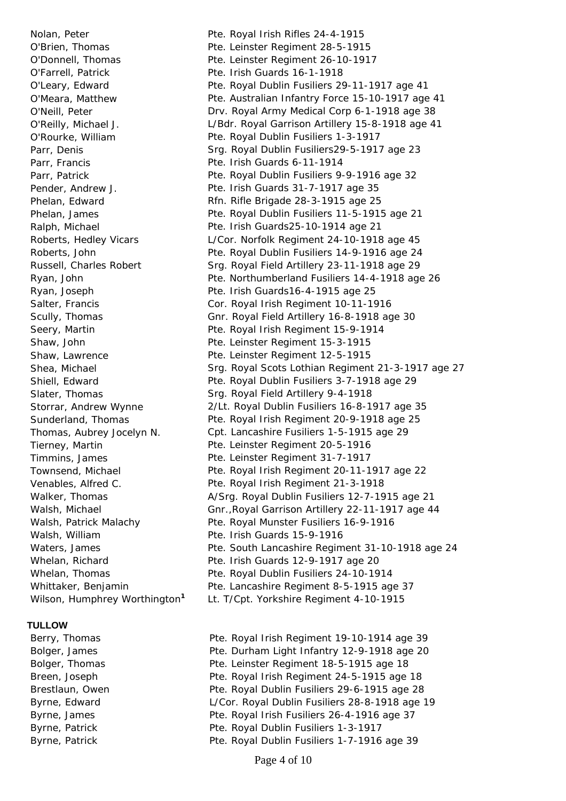O'Farrell, Patrick Pte. Irish Guards 16-1-1918 Parr, Francis Pte. Irish Guards 6-11-1914 Walsh, William Pte. Irish Guards 15-9-1916

## **TULLOW**

Nolan, Peter **Pre. Royal Irish Rifles 24-4-1915** O'Brien, Thomas Pte. Leinster Regiment 28-5-1915 O'Donnell, Thomas Pte. Leinster Regiment 26-10-1917 O'Leary, Edward Pte. Royal Dublin Fusiliers 29-11-1917 age 41 O'Meara, Matthew Pte. Australian Infantry Force 15-10-1917 age 41 O'Neill, Peter Drv. Royal Army Medical Corp 6-1-1918 age 38 O'Reilly, Michael J. L/Bdr. Royal Garrison Artillery 15-8-1918 age 41 O'Rourke, William Pte. Royal Dublin Fusiliers 1-3-1917 Parr, Denis **Edge Edge Edge State State State State State State State State State State State State State State** Parr, Patrick **Parrell Parrell Public Pte. Royal Dublin Fusiliers 9-9-1916 age 32** Pender, Andrew J. Pte. Irish Guards 31-7-1917 age 35 Phelan, Edward **Rfn. Rifle Brigade 28-3-1915** age 25 Phelan, James Pte. Royal Dublin Fusiliers 11-5-1915 age 21 Ralph, Michael Pte. Irish Guards25-10-1914 age 21 Roberts, Hedley Vicars L/Cor. Norfolk Regiment 24-10-1918 age 45 Roberts, John **Pte. Royal Dublin Fusiliers 14-9-1916** age 24 Russell, Charles Robert Srg. Royal Field Artillery 23-11-1918 age 29 Ryan, John Pte. Northumberland Fusiliers 14-4-1918 age 26 Ryan, Joseph Pte. Irish Guards16-4-1915 age 25 Salter, Francis Cor. Royal Irish Regiment 10-11-1916 Scully, Thomas Gnr. Royal Field Artillery 16-8-1918 age 30 Seery, Martin **Pte. Royal Irish Regiment 15-9-1914** Shaw, John Pte. Leinster Regiment 15-3-1915 Shaw, Lawrence Pte. Leinster Regiment 12-5-1915 Shea, Michael Srg. Royal Scots Lothian Regiment 21-3-1917 age 27 Shiell, Edward **Philopher Pte. Royal Dublin Fusiliers 3-7-1918** age 29 Slater, Thomas Srg. Royal Field Artillery 9-4-1918 Storrar, Andrew Wynne 2/Lt. Royal Dublin Fusiliers 16-8-1917 age 35 Sunderland, Thomas Pte. Royal Irish Regiment 20-9-1918 age 25 Thomas, Aubrey Jocelyn N. Cpt. Lancashire Fusiliers 1-5-1915 age 29 Tierney, Martin Pte. Leinster Regiment 20-5-1916 Timmins, James Pte. Leinster Regiment 31-7-1917 Townsend, Michael **Pte. Royal Irish Regiment 20-11-1917** age 22 Venables, Alfred C. Pte. Royal Irish Regiment 21-3-1918 Walker, Thomas **A/Srg. Royal Dublin Fusiliers 12-7-1915** age 21 Walsh, Michael Gnr.,Royal Garrison Artillery 22-11-1917 age 44 Walsh, Patrick Malachy **Pte. Royal Munster Fusiliers 16-9-1916** Waters, James **Pte. South Lancashire Regiment 31-10-1918** age 24 Whelan, Richard **Pre. Irish Guards 12-9-1917** age 20 Whelan, Thomas **Pte. Royal Dublin Fusiliers 24-10-1914** Whittaker, Benjamin **Pte. Lancashire Regiment 8-5-1915** age 37

- Wilson, Humphrey Worthington**<sup>1</sup>** Lt. T/Cpt. Yorkshire Regiment 4-10-1915
- Berry, Thomas **Pte. Royal Irish Regiment 19-10-1914** age 39 Bolger, James Pte. Durham Light Infantry 12-9-1918 age 20 Bolger, Thomas Pte. Leinster Regiment 18-5-1915 age 18 Breen, Joseph Pte. Royal Irish Regiment 24-5-1915 age 18 Brestlaun, Owen Pte. Royal Dublin Fusiliers 29-6-1915 age 28 Byrne, Edward L/Cor. Royal Dublin Fusiliers 28-8-1918 age 19 Byrne, James **Pte. Royal Irish Fusiliers 26-4-1916** age 37 Byrne, Patrick **Publish Pte. Royal Dublin Fusiliers 1-3-1917** Byrne, Patrick **Pre. Royal Dublin Fusiliers 1-7-1916** age 39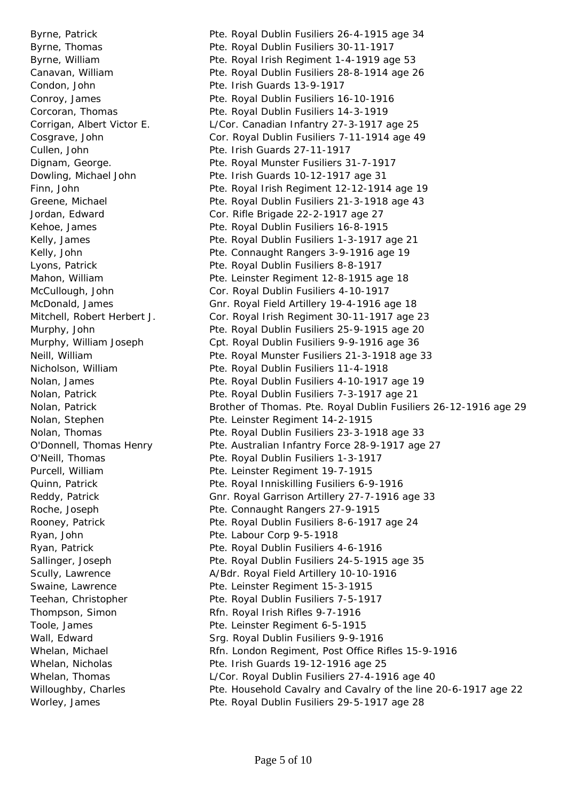Byrne, Patrick **Pte. Royal Dublin Fusiliers 26-4-1915** age 34 Byrne, Thomas **Pte. Royal Dublin Fusiliers 30-11-1917**  Byrne, William Pte. Royal Irish Regiment 1-4-1919 age 53 Canavan, William Pte. Royal Dublin Fusiliers 28-8-1914 age 26 Condon, John Pte. Irish Guards 13-9-1917 Conroy, James Pte. Royal Dublin Fusiliers 16-10-1916 Corcoran, Thomas Pte. Royal Dublin Fusiliers 14-3-1919 Corrigan, Albert Victor E. L/Cor. Canadian Infantry 27-3-1917 age 25 Cosgrave, John Cor. Royal Dublin Fusiliers 7-11-1914 age 49 Cullen, John Pte. Irish Guards 27-11-1917 Dignam, George. Pte. Royal Munster Fusiliers 31-7-1917 Dowling, Michael John Pte. Irish Guards 10-12-1917 age 31 Finn, John Pte. Royal Irish Regiment 12-12-1914 age 19 Greene, Michael Pte. Royal Dublin Fusiliers 21-3-1918 age 43 Jordan, Edward Cor. Rifle Brigade 22-2-1917 age 27 Kehoe, James **Pte. Royal Dublin Fusiliers 16-8-1915** Kelly, James **Pte. Royal Dublin Fusiliers 1-3-1917** age 21 Kelly, John **Pte. Connaught Rangers 3-9-1916 age 19** Lyons, Patrick **Pte. Royal Dublin Fusiliers 8-8-1917** Mahon, William **Pte. Leinster Regiment 12-8-1915** age 18 McCullough, John Cor. Royal Dublin Fusiliers 4-10-1917 McDonald, James Gnr. Royal Field Artillery 19-4-1916 age 18 Mitchell, Robert Herbert J. Cor. Royal Irish Regiment 30-11-1917 age 23 Murphy, John Pte. Royal Dublin Fusiliers 25-9-1915 age 20 Murphy, William Joseph Cpt. Royal Dublin Fusiliers 9-9-1916 age 36 Neill, William Pte. Royal Munster Fusiliers 21-3-1918 age 33 Nicholson, William Pte. Royal Dublin Fusiliers 11-4-1918 Nolan, James Pte. Royal Dublin Fusiliers 4-10-1917 age 19 Nolan, Patrick Pte. Royal Dublin Fusiliers 7-3-1917 age 21 Nolan, Patrick Brother of Thomas. Pte. Royal Dublin Fusiliers 26-12-1916 age 29 Nolan, Stephen Pte. Leinster Regiment 14-2-1915 Nolan, Thomas Pte. Royal Dublin Fusiliers 23-3-1918 age 33 O'Donnell, Thomas Henry Pte. Australian Infantry Force 28-9-1917 age 27 O'Neill, Thomas Pte. Royal Dublin Fusiliers 1-3-1917 Purcell, William Purcell, William Pte. Leinster Regiment 19-7-1915 Quinn, Patrick Pte. Royal Inniskilling Fusiliers 6-9-1916 Reddy, Patrick Gnr. Royal Garrison Artillery 27-7-1916 age 33 Roche, Joseph Pte. Connaught Rangers 27-9-1915 Rooney, Patrick **Pre. Royal Dublin Fusiliers 8-6-1917** age 24 Ryan, John Pte. Labour Corp 9-5-1918 Ryan, Patrick **Pte. Royal Dublin Fusiliers 4-6-1916** Sallinger, Joseph Pte. Royal Dublin Fusiliers 24-5-1915 age 35 Scully, Lawrence A/Bdr. Royal Field Artillery 10-10-1916 Swaine, Lawrence **Pte. Leinster Regiment 15-3-1915** Teehan, Christopher **Pte. Royal Dublin Fusiliers 7-5-1917** Thompson, Simon Rfn. Royal Irish Rifles 9-7-1916 Toole, James **Pte. Leinster Regiment 6-5-1915** Wall, Edward **Sripers** Srg. Royal Dublin Fusiliers 9-9-1916 Whelan, Michael **Rfn. London Regiment, Post Office Rifles 15-9-1916** Whelan, Nicholas **Pte. Irish Guards 19-12-1916** age 25 Whelan, Thomas **L/Cor. Royal Dublin Fusiliers 27-4-1916** age 40 Willoughby, Charles **Pte. Household Cavalry and Cavalry of the line 20-6-1917 age 22** 

Worley, James **Pte. Royal Dublin Fusiliers 29-5-1917** age 28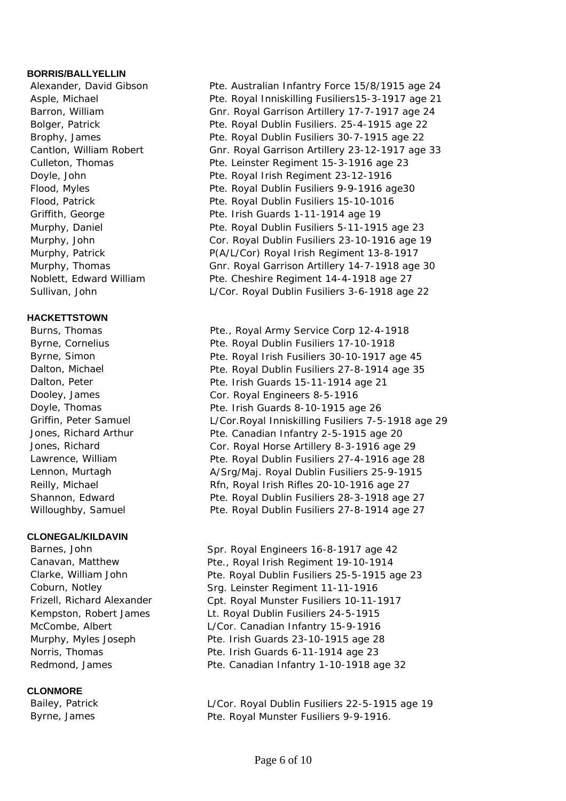# **BORRIS/BALLYELLIN**

## **HACKETTSTOWN**

## **CLONEGAL/KILDAVIN**

## **CLONMORE**

- Alexander, David Gibson Pte. Australian Infantry Force 15/8/1915 age 24 Asple, Michael Pte. Royal Inniskilling Fusiliers15-3-1917 age 21 Barron, William Gnr. Royal Garrison Artillery 17-7-1917 age 24 Bolger, Patrick **Pre. Royal Dublin Fusiliers.** 25-4-1915 age 22 Brophy, James Pte. Royal Dublin Fusiliers 30-7-1915 age 22 Cantlon, William Robert Gnr. Royal Garrison Artillery 23-12-1917 age 33 Culleton, Thomas Pte. Leinster Regiment 15-3-1916 age 23 Doyle, John Pte. Royal Irish Regiment 23-12-1916 Flood, Myles **Pte. Royal Dublin Fusiliers 9-9-1916 age30** Flood, Patrick **Pte. Royal Dublin Fusiliers 15-10-1016** Griffith, George **Pte. Irish Guards 1-11-1914** age 19 Murphy, Daniel **Pre. Royal Dublin Fusiliers 5-11-1915 age 23**  Murphy, John Cor. Royal Dublin Fusiliers 23-10-1916 age 19 Murphy, Patrick **P(A/L/Cor) Royal Irish Regiment 13-8-1917** Murphy, Thomas Gnr. Royal Garrison Artillery 14-7-1918 age 30 Noblett, Edward William Pte. Cheshire Regiment 14-4-1918 age 27 Sullivan, John L/Cor. Royal Dublin Fusiliers 3-6-1918 age 22
- Burns, Thomas **Pte., Royal Army Service Corp 12-4-1918** Byrne, Cornelius **Pte. Royal Dublin Fusiliers 17-10-1918** Byrne, Simon **Pte. Royal Irish Fusiliers 30-10-1917** age 45 Dalton, Michael **Pte. Royal Dublin Fusiliers 27-8-1914** age 35 Dalton, Peter **Pre. Irish Guards 15-11-1914** age 21 Dooley, James Cor. Royal Engineers 8-5-1916 Doyle, Thomas **Pte. Irish Guards 8-10-1915** age 26 Griffin, Peter Samuel L/Cor.Royal Inniskilling Fusiliers 7-5-1918 age 29 Jones, Richard Arthur Pte. Canadian Infantry 2-5-1915 age 20 Jones, Richard Cor. Royal Horse Artillery 8-3-1916 age 29 Lawrence, William Pte. Royal Dublin Fusiliers 27-4-1916 age 28 Lennon, Murtagh A/Srg/Maj. Royal Dublin Fusiliers 25-9-1915 Reilly, Michael **Reilly**, Michael Reilly, Michael Reilly, Michael Shannon, Edward **Pte. Royal Dublin Fusiliers 28-3-1918** age 27 Willoughby, Samuel Pte. Royal Dublin Fusiliers 27-8-1914 age 27
- Barnes, John Spr. Royal Engineers 16-8-1917 age 42 Canavan, Matthew Pte., Royal Irish Regiment 19-10-1914 Clarke, William John Pte. Royal Dublin Fusiliers 25-5-1915 age 23 Coburn, Notley Srg. Leinster Regiment 11-11-1916 Frizell, Richard Alexander Cpt. Royal Munster Fusiliers 10-11-1917 Kempston, Robert James Lt. Royal Dublin Fusiliers 24-5-1915 McCombe, Albert L/Cor. Canadian Infantry 15-9-1916 Murphy, Myles Joseph Pte. Irish Guards 23-10-1915 age 28 Norris, Thomas **Pte. Irish Guards 6-11-1914** age 23 Redmond, James **Pte. Canadian Infantry 1-10-1918** age 32

Bailey, Patrick **Example 20** L/Cor. Royal Dublin Fusiliers 22-5-1915 age 19 Byrne, James **Pte. Royal Munster Fusiliers 9-9-1916.**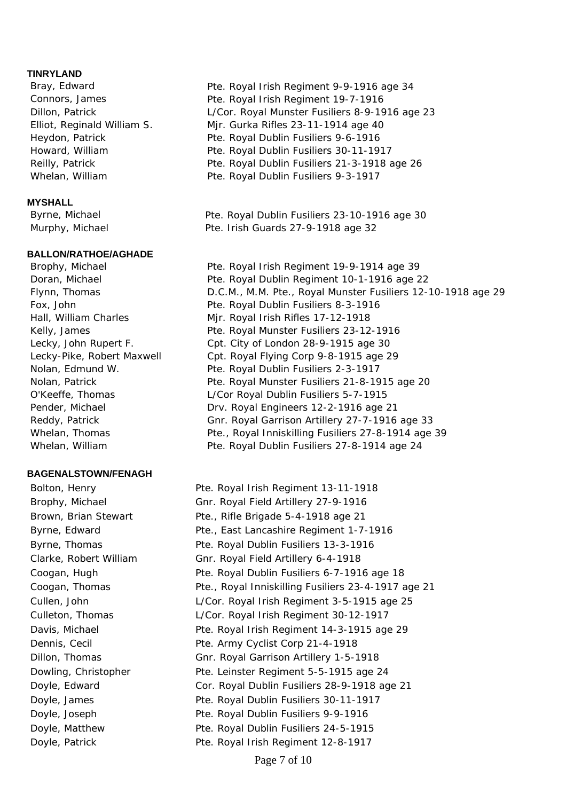### **TINRYLAND**

#### **MYSHALL**

#### **BALLON/RATHOE/AGHADE**

#### **BAGENALSTOWN/FENAGH**

- Bray, Edward **Property Controllery** Pte. Royal Irish Regiment 9-9-1916 age 34 Connors, James Pte. Royal Irish Regiment 19-7-1916 Dillon, Patrick L/Cor. Royal Munster Fusiliers 8-9-1916 age 23 Elliot, Reginald William S. Mjr. Gurka Rifles 23-11-1914 age 40 Heydon, Patrick **Pte. Royal Dublin Fusiliers 9-6-1916** Howard, William Pte. Royal Dublin Fusiliers 30-11-1917 Reilly, Patrick **Pte. Royal Dublin Fusiliers 21-3-1918** age 26 Whelan, William **Pte. Royal Dublin Fusiliers 9-3-1917**
- Byrne, Michael **Pte. Royal Dublin Fusiliers 23-10-1916** age 30 Murphy, Michael Pte. Irish Guards 27-9-1918 age 32
- Brophy, Michael Pte. Royal Irish Regiment 19-9-1914 age 39 Doran, Michael **Pte. Royal Dublin Regiment 10-1-1916** age 22 Flynn, Thomas D.C.M., M.M. Pte., Royal Munster Fusiliers 12-10-1918 age 29 Fox, John Pte. Royal Dublin Fusiliers 8-3-1916 Hall, William Charles Mir. Royal Irish Rifles 17-12-1918 Kelly, James Pte. Royal Munster Fusiliers 23-12-1916 Lecky, John Rupert F. Cpt. City of London 28-9-1915 age 30 Lecky-Pike, Robert Maxwell Cpt. Royal Flying Corp 9-8-1915 age 29 Nolan, Edmund W. Pte. Royal Dublin Fusiliers 2-3-1917 Nolan, Patrick Pte. Royal Munster Fusiliers 21-8-1915 age 20 O'Keeffe, Thomas L/Cor Royal Dublin Fusiliers 5-7-1915 Pender, Michael **Drv. Royal Engineers 12-2-1916** age 21 Reddy, Patrick Gnr. Royal Garrison Artillery 27-7-1916 age 33 Whelan, Thomas **Pte., Royal Inniskilling Fusiliers 27-8-1914** age 39 Whelan, William **Pte. Royal Dublin Fusiliers 27-8-1914** age 24

Bolton, Henry **Pte. Royal Irish Regiment 13-11-1918**  Brophy, Michael Gnr. Royal Field Artillery 27-9-1916 Brown, Brian Stewart Pte., Rifle Brigade 5-4-1918 age 21 Byrne, Edward Pte., East Lancashire Regiment 1-7-1916 Byrne, Thomas **Pte. Royal Dublin Fusiliers 13-3-1916**  Clarke, Robert William Gnr. Royal Field Artillery 6-4-1918 Coogan, Hugh Pte. Royal Dublin Fusiliers 6-7-1916 age 18 Coogan, Thomas **Pte., Royal Inniskilling Fusiliers 23-4-1917** age 21 Cullen, John L/Cor. Royal Irish Regiment 3-5-1915 age 25 Culleton, Thomas L/Cor. Royal Irish Regiment 30-12-1917 Davis, Michael **Pte. Royal Irish Regiment 14-3-1915 age 29** Dennis, Cecil Pte. Army Cyclist Corp 21-4-1918 Dillon, Thomas Gnr. Royal Garrison Artillery 1-5-1918 Dowling, Christopher Pte. Leinster Regiment 5-5-1915 age 24 Doyle, Edward Cor. Royal Dublin Fusiliers 28-9-1918 age 21 Doyle, James Pte. Royal Dublin Fusiliers 30-11-1917 Doyle, Joseph Pte. Royal Dublin Fusiliers 9-9-1916 Doyle, Matthew Pte. Royal Dublin Fusiliers 24-5-1915 Doyle, Patrick **Pre. Royal Irish Regiment 12-8-1917**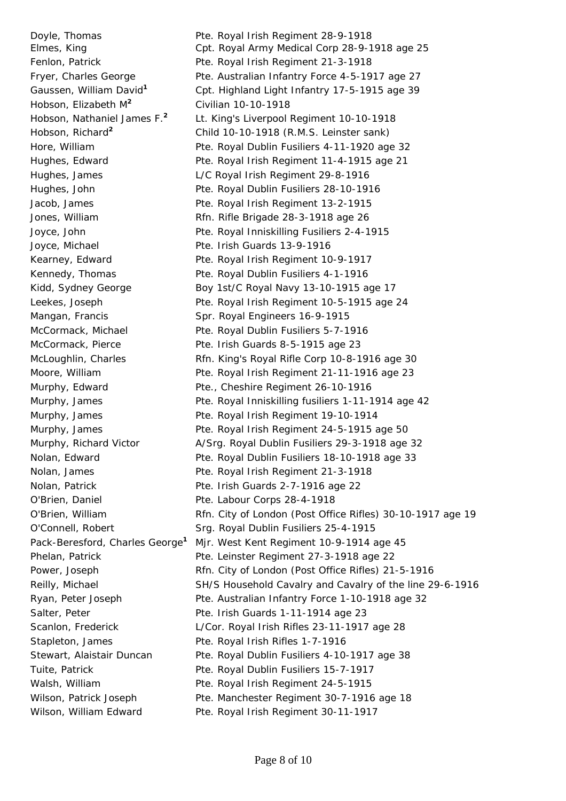Hobson, Elizabeth M**<sup>2</sup>** Civilian 10-10-1918 Joyce, Michael Pte. Irish Guards 13-9-1916 Mangan, Francis Spr. Royal Engineers 16-9-1915 O'Brien, Daniel Pte. Labour Corps 28-4-1918 Stapleton, James Pte. Royal Irish Rifles 1-7-1916

Doyle, Thomas **Pte. Royal Irish Regiment 28-9-1918**  Elmes, King Cpt. Royal Army Medical Corp 28-9-1918 age 25 Fenlon, Patrick **Pre. Royal Irish Regiment 21-3-1918** Fryer, Charles George **Pre. Australian Infantry Force 4-5-1917** age 27 Gaussen, William David**<sup>1</sup>** Cpt. Highland Light Infantry 17-5-1915 age 39 Hobson, Nathaniel James F.**<sup>2</sup>** Lt. King's Liverpool Regiment 10-10-1918 Hobson, Richard**<sup>2</sup>** Child 10-10-1918 (R.M.S. Leinster sank) Hore, William Pte. Royal Dublin Fusiliers 4-11-1920 age 32 Hughes, Edward **Pte. Royal Irish Regiment 11-4-1915 age 21**  Hughes, James L/C Royal Irish Regiment 29-8-1916 Hughes, John Pte. Royal Dublin Fusiliers 28-10-1916 Jacob, James Pte. Royal Irish Regiment 13-2-1915 Jones, William Rfn. Rifle Brigade 28-3-1918 age 26 Joyce, John Pte. Royal Inniskilling Fusiliers 2-4-1915 Kearney, Edward Pte. Royal Irish Regiment 10-9-1917 Kennedy, Thomas **Pte. Royal Dublin Fusiliers 4-1-1916** Kidd, Sydney George **Boy 1st/C Royal Navy 13-10-1915** age 17 Leekes, Joseph Pte. Royal Irish Regiment 10-5-1915 age 24 McCormack, Michael Pte. Royal Dublin Fusiliers 5-7-1916 McCormack, Pierce Pte. Irish Guards 8-5-1915 age 23 McLoughlin, Charles Rfn. King's Royal Rifle Corp 10-8-1916 age 30 Moore, William Pte. Royal Irish Regiment 21-11-1916 age 23 Murphy, Edward Pte., Cheshire Regiment 26-10-1916 Murphy, James **Pte. Royal Inniskilling fusiliers 1-11-1914** age 42 Murphy, James **Pte. Royal Irish Regiment 19-10-1914** Murphy, James **Pte. Royal Irish Regiment 24-5-1915** age 50 Murphy, Richard Victor A/Srg. Royal Dublin Fusiliers 29-3-1918 age 32 Nolan, Edward Pte. Royal Dublin Fusiliers 18-10-1918 age 33 Nolan, James **Pte. Royal Irish Regiment 21-3-1918**  Nolan, Patrick Pte. Irish Guards 2-7-1916 age 22 O'Brien, William Rfn. City of London (Post Office Rifles) 30-10-1917 age 19 O'Connell, Robert Srg. Royal Dublin Fusiliers 25-4-1915 Pack-Beresford, Charles George**<sup>1</sup>** Mjr. West Kent Regiment 10-9-1914 age 45 Phelan, Patrick Pte. Leinster Regiment 27-3-1918 age 22 Power, Joseph Rfn. City of London (Post Office Rifles) 21-5-1916 Reilly, Michael SH/S Household Cavalry and Cavalry of the line 29-6-1916 Ryan, Peter Joseph Pte. Australian Infantry Force 1-10-1918 age 32 Salter, Peter **Pte. Irish Guards 1-11-1914** age 23 Scanlon, Frederick L/Cor. Royal Irish Rifles 23-11-1917 age 28 Stewart, Alaistair Duncan Pte. Royal Dublin Fusiliers 4-10-1917 age 38 Tuite, Patrick **Public Pte. Royal Dublin Fusiliers 15-7-1917** Walsh, William **Pte. Royal Irish Regiment 24-5-1915** Wilson, Patrick Joseph Pte. Manchester Regiment 30-7-1916 age 18 Wilson, William Edward Pte. Royal Irish Regiment 30-11-1917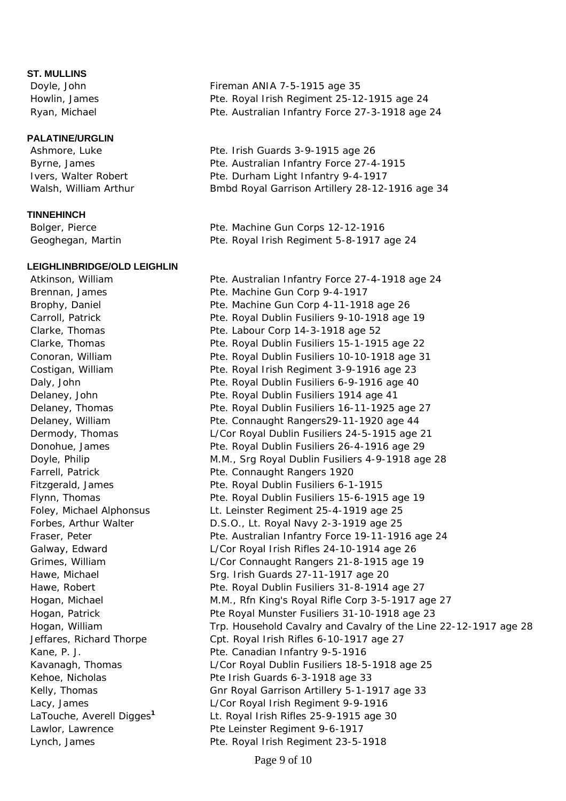### **ST. MULLINS**

#### **PALATINE/URGLIN**

### **TINNEHINCH**

#### **LEIGHLINBRIDGE/OLD LEIGHLIN**

Doyle, John Fireman ANIA 7-5-1915 age 35 Howlin, James Pte. Royal Irish Regiment 25-12-1915 age 24 Ryan, Michael Pte. Australian Infantry Force 27-3-1918 age 24

Ashmore, Luke Pte. Irish Guards 3-9-1915 age 26 Byrne, James Pte. Australian Infantry Force 27-4-1915 Ivers, Walter Robert Pte. Durham Light Infantry 9-4-1917 Walsh, William Arthur **B**mbd Royal Garrison Artillery 28-12-1916 age 34

Bolger, Pierce **Pre. Pre. Machine Gun Corps 12-12-1916** Geoghegan, Martin Pte. Royal Irish Regiment 5-8-1917 age 24

 Atkinson, William Pte. Australian Infantry Force 27-4-1918 age 24 Brennan, James Pte. Machine Gun Corp 9-4-1917 Brophy, Daniel **Pre. Machine Gun Corp 4-11-1918 age 26**  Carroll, Patrick Pte. Royal Dublin Fusiliers 9-10-1918 age 19 Clarke, Thomas Pte. Labour Corp 14-3-1918 age 52 Clarke, Thomas Pte. Royal Dublin Fusiliers 15-1-1915 age 22 Conoran, William Pte. Royal Dublin Fusiliers 10-10-1918 age 31 Costigan, William Pte. Royal Irish Regiment 3-9-1916 age 23 Daly, John Pte. Royal Dublin Fusiliers 6-9-1916 age 40 Delaney, John Pte. Royal Dublin Fusiliers 1914 age 41 Delaney, Thomas **Pte. Royal Dublin Fusiliers 16-11-1925** age 27 Delaney, William Pte. Connaught Rangers29-11-1920 age 44 Dermody, Thomas L/Cor Royal Dublin Fusiliers 24-5-1915 age 21 Donohue, James Pte. Royal Dublin Fusiliers 26-4-1916 age 29 Doyle, Philip M.M., Srg Royal Dublin Fusiliers 4-9-1918 age 28 Farrell, Patrick **Pte. Connaught Rangers 1920**  Fitzgerald, James Pte. Royal Dublin Fusiliers 6-1-1915 Flynn, Thomas Pte. Royal Dublin Fusiliers 15-6-1915 age 19 Foley, Michael Alphonsus Lt. Leinster Regiment 25-4-1919 age 25 Forbes, Arthur Walter D.S.O., Lt. Royal Navy 2-3-1919 age 25 Fraser, Peter **Pre. Australian Infantry Force 19-11-1916** age 24 Galway, Edward L/Cor Royal Irish Rifles 24-10-1914 age 26 Grimes, William L/Cor Connaught Rangers 21-8-1915 age 19 Hawe, Michael Srg. Irish Guards 27-11-1917 age 20 Hawe, Robert **Pte. Royal Dublin Fusiliers 31-8-1914** age 27 Hogan, Michael M.M., Rfn King's Royal Rifle Corp 3-5-1917 age 27 Hogan, Patrick Pte Royal Munster Fusiliers 31-10-1918 age 23 Hogan, William Trp. Household Cavalry and Cavalry of the Line 22-12-1917 age 28 Jeffares, Richard Thorpe Cpt. Royal Irish Rifles 6-10-1917 age 27 Kane, P. J. Pte. Canadian Infantry 9-5-1916 Kavanagh, Thomas L/Cor Royal Dublin Fusiliers 18-5-1918 age 25 Kehoe, Nicholas **Pte Irish Guards 6-3-1918** age 33 Kelly, Thomas **Gnr Royal Garrison Artillery 5-1-1917** age 33 Lacy, James L/Cor Royal Irish Regiment 9-9-1916 LaTouche, Averell Digges**<sup>1</sup>** Lt. Royal Irish Rifles 25-9-1915 age 30 Lawlor, Lawrence The Leinster Regiment 9-6-1917 Lynch, James Pte. Royal Irish Regiment 23-5-1918

Page 9 of 10